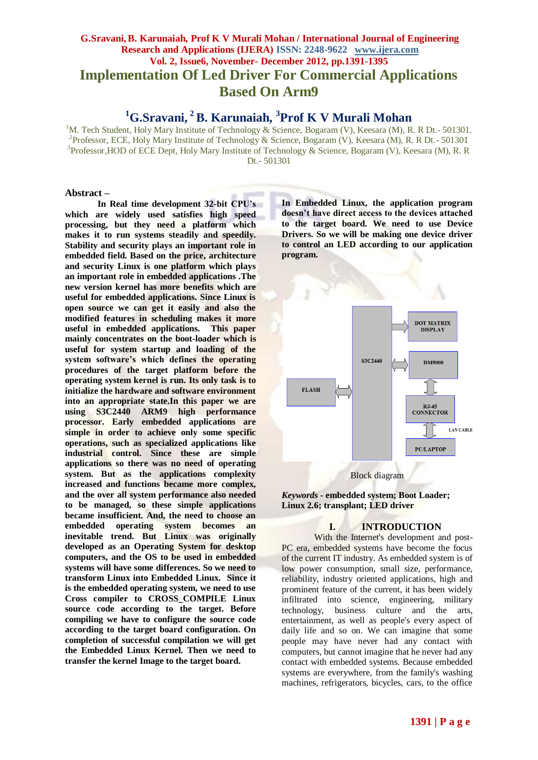# **G.Sravani,B. Karunaiah, Prof K V Murali Mohan / International Journal of Engineering Research and Applications (IJERA) ISSN: 2248-9622 www.ijera.com Vol. 2, Issue6, November- December 2012, pp.1391-1395 Implementation Of Led Driver For Commercial Applications Based On Arm9**

**<sup>1</sup>G.Sravani, <sup>2</sup>B. Karunaiah, <sup>3</sup> Prof K V Murali Mohan**

<sup>1</sup>M. Tech Student, Holy Mary Institute of Technology & Science, Bogaram (V), Keesara (M), R. R Dt.- 501301. <sup>2</sup>Professor, ECE, Holy Mary Institute of Technology & Science, Bogaram (V), Keesara (M), R. R Dt. - 501301 <sup>3</sup>Professor, HOD of ECE Dept, Holy Mary Institute of Technology & Science, Bogaram (V), Keesara (M), R. R Dt.- 501301

#### **Abstract –**

**In Real time development 32-bit CPU's which are widely used satisfies high speed processing, but they need a platform which makes it to run systems steadily and speedily. Stability and security plays an important role in embedded field. Based on the price, architecture and security Linux is one platform which plays an important role in embedded applications .The new version kernel has more benefits which are useful for embedded applications. Since Linux is open source we can get it easily and also the modified features in scheduling makes it more useful in embedded applications. This paper mainly concentrates on the boot-loader which is useful for system startup and loading of the system software's which defines the operating procedures of the target platform before the operating system kernel is run. Its only task is to initialize the hardware and software environment into an appropriate state.In this paper we are using S3C2440 ARM9 high performance processor. Early embedded applications are simple in order to achieve only some specific operations, such as specialized applications like industrial control. Since these are simple applications so there was no need of operating system. But as the applications complexity increased and functions became more complex, and the over all system performance also needed to be managed, so these simple applications became insufficient. And, the need to choose an embedded operating system becomes an inevitable trend. But Linux was originally developed as an Operating System for desktop computers, and the OS to be used in embedded systems will have some differences. So we need to transform Linux into Embedded Linux. Since it is the embedded operating system, we need to use Cross compiler to CROSS\_COMPILE Linux source code according to the target. Before compiling we have to configure the source code according to the target board configuration. On completion of successful compilation we will get the Embedded Linux Kernel. Then we need to transfer the kernel Image to the target board.** 

**In Embedded Linux, the application program doesn't have direct access to the devices attached to the target board. We need to use Device Drivers. So we will be making one device driver to control an LED according to our application program.**



*Keywords* **- embedded system; Boot Loader; Linux 2.6; transplant; LED driver**

#### **I. INTRODUCTION**

With the Internet's development and post-PC era, embedded systems have become the focus of the current IT industry. As embedded system is of low power consumption, small size, performance, reliability, industry oriented applications, high and prominent feature of the current, it has been widely infiltrated into science, engineering, military technology, business culture and the arts, entertainment, as well as people's every aspect of daily life and so on. We can imagine that some people may have never had any contact with computers, but cannot imagine that he never had any contact with embedded systems. Because embedded systems are everywhere, from the family's washing machines, refrigerators, bicycles, cars, to the office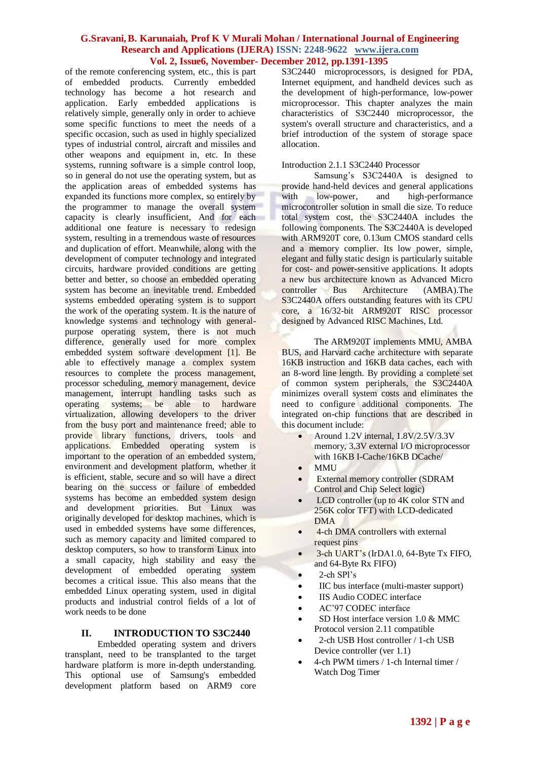of the remote conferencing system, etc., this is part of embedded products. Currently embedded technology has become a hot research and application. Early embedded applications is relatively simple, generally only in order to achieve some specific functions to meet the needs of a specific occasion, such as used in highly specialized types of industrial control, aircraft and missiles and other weapons and equipment in, etc. In these systems, running software is a simple control loop, so in general do not use the operating system, but as the application areas of embedded systems has expanded its functions more complex, so entirely by the programmer to manage the overall system capacity is clearly insufficient, And for each additional one feature is necessary to redesign system, resulting in a tremendous waste of resources and duplication of effort. Meanwhile, along with the development of computer technology and integrated circuits, hardware provided conditions are getting better and better, so choose an embedded operating system has become an inevitable trend. Embedded systems embedded operating system is to support the work of the operating system. It is the nature of knowledge systems and technology with generalpurpose operating system, there is not much difference, generally used for more complex embedded system software development [1]. Be able to effectively manage a complex system resources to complete the process management, processor scheduling, memory management, device management, interrupt handling tasks such as operating systems; be able to hardware virtualization, allowing developers to the driver from the busy port and maintenance freed; able to provide library functions, drivers, tools and applications. Embedded operating system is important to the operation of an embedded system, environment and development platform, whether it is efficient, stable, secure and so will have a direct bearing on the success or failure of embedded systems has become an embedded system design and development priorities. But Linux was originally developed for desktop machines, which is used in embedded systems have some differences, such as memory capacity and limited compared to desktop computers, so how to transform Linux into a small capacity, high stability and easy the development of embedded operating system becomes a critical issue. This also means that the embedded Linux operating system, used in digital products and industrial control fields of a lot of work needs to be done

#### **II. INTRODUCTION TO S3C2440**

Embedded operating system and drivers transplant, need to be transplanted to the target hardware platform is more in-depth understanding. This optional use of Samsung's embedded development platform based on ARM9 core

S3C2440 microprocessors, is designed for PDA, Internet equipment, and handheld devices such as the development of high-performance, low-power microprocessor. This chapter analyzes the main characteristics of S3C2440 microprocessor, the system's overall structure and characteristics, and a brief introduction of the system of storage space allocation.

#### Introduction 2.1.1 S3C2440 Processor

Samsung's S3C2440A is designed to provide hand-held devices and general applications with low-power, and high-performance microcontroller solution in small die size. To reduce total system cost, the S3C2440A includes the following components. The S3C2440A is developed with ARM920T core, 0.13um CMOS standard cells and a memory complier. Its low power, simple, elegant and fully static design is particularly suitable for cost- and power-sensitive applications. It adopts a new bus architecture known as Advanced Micro<br>
controller Bus Architecture (AMBA). The controller Bus Architecture (AMBA).The S3C2440A offers outstanding features with its CPU core, a 16/32-bit ARM920T RISC processor designed by Advanced RISC Machines, Ltd.

The ARM920T implements MMU, AMBA BUS, and Harvard cache architecture with separate 16KB instruction and 16KB data caches, each with an 8-word line length. By providing a complete set of common system peripherals, the S3C2440A minimizes overall system costs and eliminates the need to configure additional components. The integrated on-chip functions that are described in this document include:

- Around 1.2V internal, 1.8V/2.5V/3.3V memory, 3.3V external I/O microprocessor with 16KB I-Cache/16KB DCache/
- MMU
- External memory controller (SDRAM Control and Chip Select logic)
- LCD controller (up to 4K color STN and 256K color TFT) with LCD-dedicated DMA
- 4-ch DMA controllers with external request pins
- 3-ch UART's (IrDA1.0, 64-Byte Tx FIFO, and 64-Byte Rx FIFO)
- 2-ch SPl's
- IIC bus interface (multi-master support)
- IIS Audio CODEC interface
- AC'97 CODEC interface
- SD Host interface version 1.0 & MMC Protocol version 2.11 compatible
- 2-ch USB Host controller / 1-ch USB Device controller (ver 1.1)
- 4-ch PWM timers / 1-ch Internal timer / Watch Dog Timer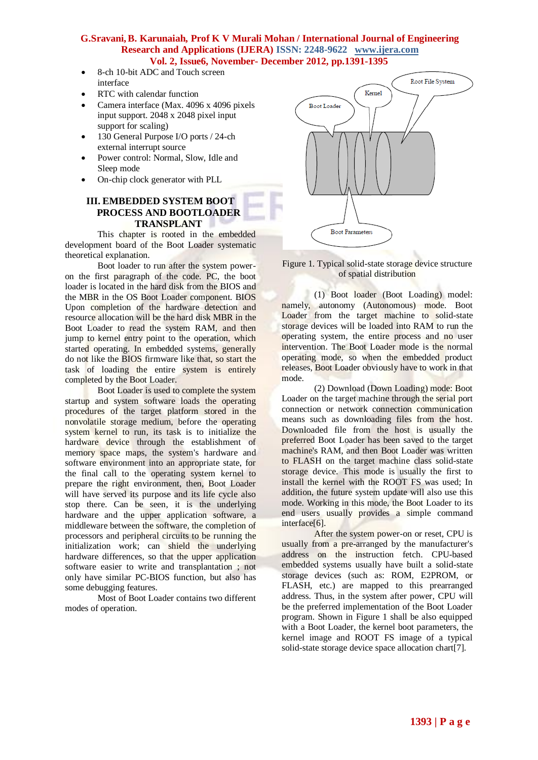- 8-ch 10-bit ADC and Touch screen interface
- RTC with calendar function
- Camera interface (Max. 4096 x 4096 pixels input support. 2048 x 2048 pixel input support for scaling)
- 130 General Purpose I/O ports / 24-ch external interrupt source
- Power control: Normal, Slow, Idle and Sleep mode
- On-chip clock generator with PLL

# **III. EMBEDDED SYSTEM BOOT PROCESS AND BOOTLOADER TRANSPLANT**

This chapter is rooted in the embedded development board of the Boot Loader systematic theoretical explanation.

Boot loader to run after the system poweron the first paragraph of the code. PC, the boot loader is located in the hard disk from the BIOS and the MBR in the OS Boot Loader component. BIOS Upon completion of the hardware detection and resource allocation will be the hard disk MBR in the Boot Loader to read the system RAM, and then jump to kernel entry point to the operation, which started operating. In embedded systems, generally do not like the BIOS firmware like that, so start the task of loading the entire system is entirely completed by the Boot Loader.

Boot Loader is used to complete the system startup and system software loads the operating procedures of the target platform stored in the nonvolatile storage medium, before the operating system kernel to run, its task is to initialize the hardware device through the establishment of memory space maps, the system's hardware and software environment into an appropriate state, for the final call to the operating system kernel to prepare the right environment, then, Boot Loader will have served its purpose and its life cycle also stop there. Can be seen, it is the underlying hardware and the upper application software, a middleware between the software, the completion of processors and peripheral circuits to be running the initialization work; can shield the underlying hardware differences, so that the upper application software easier to write and transplantation ; not only have similar PC-BIOS function, but also has some debugging features.

Most of Boot Loader contains two different modes of operation.



Figure 1. Typical solid-state storage device structure of spatial distribution

(1) Boot loader (Boot Loading) model: namely, autonomy (Autonomous) mode. Boot Loader from the target machine to solid-state storage devices will be loaded into RAM to run the operating system, the entire process and no user intervention. The Boot Loader mode is the normal operating mode, so when the embedded product releases, Boot Loader obviously have to work in that mode.

(2) Download (Down Loading) mode: Boot Loader on the target machine through the serial port connection or network connection communication means such as downloading files from the host. Downloaded file from the host is usually the preferred Boot Loader has been saved to the target machine's RAM, and then Boot Loader was written to FLASH on the target machine class solid-state storage device. This mode is usually the first to install the kernel with the ROOT FS was used; In addition, the future system update will also use this mode. Working in this mode, the Boot Loader to its end users usually provides a simple command interface[6].

After the system power-on or reset, CPU is usually from a pre-arranged by the manufacturer's address on the instruction fetch. CPU-based embedded systems usually have built a solid-state storage devices (such as: ROM, E2PROM, or FLASH, etc.) are mapped to this prearranged address. Thus, in the system after power, CPU will be the preferred implementation of the Boot Loader program. Shown in Figure 1 shall be also equipped with a Boot Loader, the kernel boot parameters, the kernel image and ROOT FS image of a typical solid-state storage device space allocation chart[7].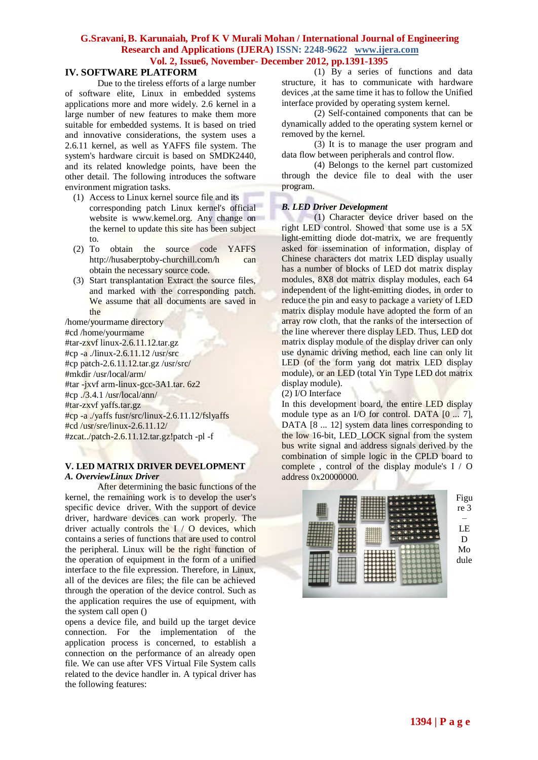# **IV. SOFTWARE PLATFORM**

Due to the tireless efforts of a large number of software elite, Linux in embedded systems applications more and more widely. 2.6 kernel in a large number of new features to make them more suitable for embedded systems. It is based on tried and innovative considerations, the system uses a 2.6.11 kernel, as well as YAFFS file system. The system's hardware circuit is based on SMDK2440, and its related knowledge points, have been the other detail. The following introduces the software environment migration tasks.

- (1) Access to Linux kernel source file and its corresponding patch Linux kernel's official website is www.kemel.org. Any change on the kernel to update this site has been subject to.
- (2) To obtain the source code YAFFS http://husaberptoby-churchill.com/h can obtain the necessary source code.
- (3) Start transplantation Extract the source files, and marked with the corresponding patch. We assume that all documents are saved in the

/home/yourmame directory #cd /home/yourmame #tar-zxvf linux-2.6.11.12.tar.gz #cp -a ./linux-2.6.11.12 /usr/src #cp patch-2.6.11.12.tar.gz /usr/src/ #mkdir /usr/local/arm/ #tar -jxvf arm-linux-gcc-3A1.tar. 6z2 #cp ./3.4.1 /usr/local/ann/ #tar-zxvf yaffs.tar.gz #cp -a ./yaffs fusr/src/linux-2.6.11.12/fslyaffs #cd /usr/sre/linux-2.6.11.12/ #zcat../patch-2.6.11.12.tar.gz!patch -pl -f

#### **V. LED MATRIX DRIVER DEVELOPMENT** *A. OverviewLinux Driver*

After determining the basic functions of the kernel, the remaining work is to develop the user's specific device driver. With the support of device driver, hardware devices can work properly. The driver actually controls the I / O devices, which contains a series of functions that are used to control the peripheral. Linux will be the right function of the operation of equipment in the form of a unified interface to the file expression. Therefore, in Linux, all of the devices are files; the file can be achieved through the operation of the device control. Such as the application requires the use of equipment, with the system call open ()

opens a device file, and build up the target device connection. For the implementation of the application process is concerned, to establish a connection on the performance of an already open file. We can use after VFS Virtual File System calls related to the device handler in. A typical driver has the following features:

(1) By a series of functions and data structure, it has to communicate with hardware devices ,at the same time it has to follow the Unified interface provided by operating system kernel.

(2) Self-contained components that can be dynamically added to the operating system kernel or removed by the kernel.

(3) It is to manage the user program and data flow between peripherals and control flow.

(4) Belongs to the kernel part customized through the device file to deal with the user program.

# *B. LED Driver Development*

(1) Character device driver based on the right LED control. Showed that some use is a 5X light-emitting diode dot-matrix, we are frequently asked for issemination of information, display of Chinese characters dot matrix LED display usually has a number of blocks of LED dot matrix display modules, 8X8 dot matrix display modules, each 64 independent of the light-emitting diodes, in order to reduce the pin and easy to package a variety of LED matrix display module have adopted the form of an array row cloth, that the ranks of the intersection of the line wherever there display LED. Thus, LED dot matrix display module of the display driver can only use dynamic driving method, each line can only lit LED (of the form yang dot matrix LED display module), or an LED (total Yin Type LED dot matrix display module).

(2) I/O Interface

In this development board, the entire LED display module type as an I/O for control. DATA  $[0 \dots 7]$ , DATA [8 ... 12] system data lines corresponding to the low 16-bit, LED\_LOCK signal from the system bus write signal and address signals derived by the combination of simple logic in the CPLD board to complete , control of the display module's I / O address 0x20000000.